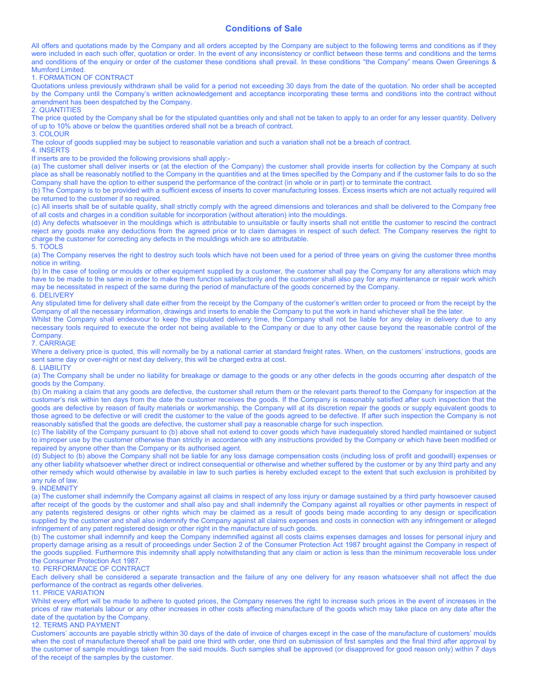# Conditions of Sale

All offers and quotations made by the Company and all orders accepted by the Company are subject to the following terms and conditions as if they were included in each such offer, quotation or order. In the event of any inconsistency or conflict between these terms and conditions and the terms and conditions of the enquiry or order of the customer these conditions shall prevail. In these conditions "the Company" means Owen Greenings & Mumford Limited.

1. FORMATION OF CONTRACT

Quotations unless previously withdrawn shall be valid for a period not exceeding 30 days from the date of the quotation. No order shall be accepted by the Company until the Company's written acknowledgement and acceptance incorporating these terms and conditions into the contract without amendment has been despatched by the Company.

2. QUANTITIES

The price quoted by the Company shall be for the stipulated quantities only and shall not be taken to apply to an order for any lesser quantity. Delivery of up to 10% above or below the quantities ordered shall not be a breach of contract. 3. COLOUR

The colour of goods supplied may be subject to reasonable variation and such a variation shall not be a breach of contract.

#### 4. INSERTS

If inserts are to be provided the following provisions shall apply:-

(a) The customer shall deliver inserts or (at the election of the Company) the customer shall provide inserts for collection by the Company at such place as shall be reasonably notified to the Company in the quantities and at the times specified by the Company and if the customer fails to do so the Company shall have the option to either suspend the performance of the contract (in whole or in part) or to terminate the contract.

(b) The Company is to be provided with a sufficient excess of inserts to cover manufacturing losses. Excess inserts which are not actually required will be returned to the customer if so required.

(c) All inserts shall be of suitable quality, shall strictly comply with the agreed dimensions and tolerances and shall be delivered to the Company free of all costs and charges in a condition suitable for incorporation (without alteration) into the mouldings.

(d) Any defects whatsoever in the mouldings which is attributable to unsuitable or faulty inserts shall not entitle the customer to rescind the contract reject any goods make any deductions from the agreed price or to claim damages in respect of such defect. The Company reserves the right to charge the customer for correcting any defects in the mouldings which are so attributable. 5. TOOLS

(a) The Company reserves the right to destroy such tools which have not been used for a period of three years on giving the customer three months notice in writing.

(b) In the case of tooling or moulds or other equipment supplied by a customer, the customer shall pay the Company for any alterations which may have to be made to the same in order to make them function satisfactorily and the customer shall also pay for any maintenance or repair work which may be necessitated in respect of the same during the period of manufacture of the goods concerned by the Company.

### 6. DELIVERY

Any stipulated time for delivery shall date either from the receipt by the Company of the customer's written order to proceed or from the receipt by the Company of all the necessary information, drawings and inserts to enable the Company to put the work in hand whichever shall be the later.

Whilst the Company shall endeavour to keep the stipulated delivery time, the Company shall not be liable for any delay in delivery due to any necessary tools required to execute the order not being available to the Company or due to any other cause beyond the reasonable control of the **Company** 

### 7. CARRIAGE

Where a delivery price is quoted, this will normally be by a national carrier at standard freight rates. When, on the customers' instructions, goods are sent same day or over-night or next day delivery, this will be charged extra at cost. 8. LIABILITY

(a) The Company shall be under no liability for breakage or damage to the goods or any other defects in the goods occurring after despatch of the goods by the Company.

(b) On making a claim that any goods are defective, the customer shall return them or the relevant parts thereof to the Company for inspection at the customer's risk within ten days from the date the customer receives the goods. If the Company is reasonably satisfied after such inspection that the goods are defective by reason of faulty materials or workmanship, the Company will at its discretion repair the goods or supply equivalent goods to those agreed to be defective or will credit the customer to the value of the goods agreed to be defective. If after such inspection the Company is not reasonably satisfied that the goods are defective, the customer shall pay a reasonable charge for such inspection.

(c) The liability of the Company pursuant to (b) above shall not extend to cover goods which have inadequately stored handled maintained or subject to improper use by the customer otherwise than strictly in accordance with any instructions provided by the Company or which have been modified or repaired by anyone other than the Company or its authorised agent.

(d) Subject to (b) above the Company shall not be liable for any loss damage compensation costs (including loss of profit and goodwill) expenses or any other liability whatsoever whether direct or indirect consequential or otherwise and whether suffered by the customer or by any third party and any other remedy which would otherwise by available in law to such parties is hereby excluded except to the extent that such exclusion is prohibited by any rule of law.

#### 9. INDEMNITY

(a) The customer shall indemnify the Company against all claims in respect of any loss injury or damage sustained by a third party howsoever caused after receipt of the goods by the customer and shall also pay and shall indemnify the Company against all royalties or other payments in respect of any patents registered designs or other rights which may be claimed as a result of goods being made according to any design or specification supplied by the customer and shall also indemnify the Company against all claims expenses and costs in connection with any infringement or alleged infringement of any patent registered design or other right in the manufacture of such goods.

(b) The customer shall indemnify and keep the Company indemnified against all costs claims expenses damages and losses for personal injury and property damage arising as a result of proceedings under Section 2 of the Consumer Protection Act 1987 brought against the Company in respect of the goods supplied. Furthermore this indemnity shall apply notwithstanding that any claim or action is less than the minimum recoverable loss under the Consumer Protection Act 1987.

### 10. PERFORMANCE OF CONTRACT

Each delivery shall be considered a separate transaction and the failure of any one delivery for any reason whatsoever shall not affect the due performance of the contract as regards other deliveries.

## 11. PRICE VARIATION

Whilst every effort will be made to adhere to quoted prices, the Company reserves the right to increase such prices in the event of increases in the prices of raw materials labour or any other increases in other costs affecting manufacture of the goods which may take place on any date after the date of the quotation by the Company.

## 12. TERMS AND PAYMENT

Customers' accounts are payable strictly within 30 days of the date of invoice of charges except in the case of the manufacture of customers' moulds when the cost of manufacture thereof shall be paid one third with order, one third on submission of first samples and the final third after approval by the customer of sample mouldings taken from the said moulds. Such samples shall be approved (or disapproved for good reason only) within 7 days of the receipt of the samples by the customer.